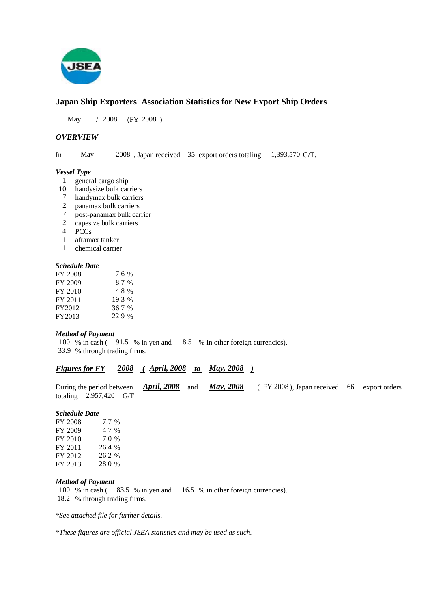

# **Japan Ship Exporters' Association Statistics for New Export Ship Orders**

 $/ 2008$  (FY 2008) May / 2008

## *OVERVIEW*

May

In May 2008, Japan received 35 export orders totaling 1,393,570 G/T.

#### *Vessel Type*

- general cargo ship 1
- handysize bulk carriers 10
- handymax bulk carriers 7
- panamax bulk carriers 2
- post-panamax bulk carrier 7
- capesize bulk carriers 2
- PCCs 4
- aframax tanker 1
- chemical carrier 1

#### *Schedule Date*

| FY 2008 | 7.6 %  |
|---------|--------|
| FY 2009 | 8.7 %  |
| FY 2010 | 4.8 %  |
| FY 2011 | 19.3 % |
| FY2012  | 36.7 % |
| FY2013  | 22.9 % |

#### *Method of Payment*

100 % in cash (91.5 % in yen and 8.5 % in other foreign currencies). % through trading firms. 33.9

## *Figures for FY* 2008 (April, 2008 to May, 2008)

During the period between **April, 2008** and **May, 2008** (FY 2008), Japan received 66 export orders totaling  $2,957,420$  G/T. *April, 2008* and *May, 2008* 

#### *Schedule Date*

FY 2008 FY 2009 FY 2010 FY 2011 FY 2012 FY 2013 7.0 26.4 % 26.2 % 28.0 % 7.7 4.7 %

#### *Method of Payment*

100 % in cash (83.5 % in yen and 16.5 % in other foreign currencies). 18.2 % through trading firms.

*\*See attached file for further details.*

*\*These figures are official JSEA statistics and may be used as such.*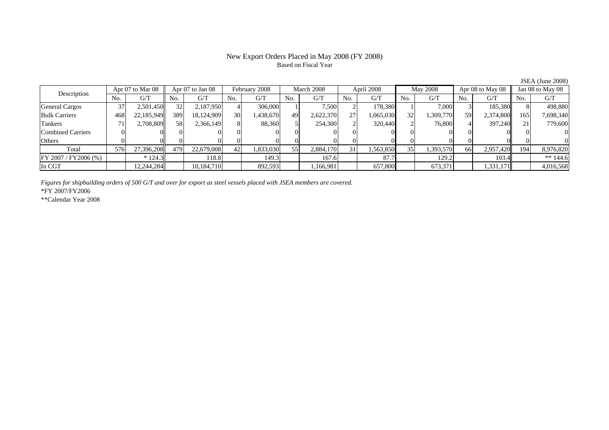### New Export Orders Placed in May 2008 (FY 2008) Based on Fiscal Year

No. G/T No. G/T No. G/T No. G/T No. G/T No. G/T No. G/T No. G/TGeneral Cargos | 37| 2,501,450|| 32| 2,187,950| 4| 306,000| 1| 7,500| 2| 178,380| 1| 7,000| 3| 185,380|| 8| 498,880 Bulk Carriers | 468| 22,185,949| 389| 18,124,909| 30| 1,438,670| 49| 2,622,370| 27| 1,065,030| 32| 1,309,770| 59| 2,374,800|| 165| 7,698,340 Tankers | 71| 2,708,809|| 58| 2,366,149| 8| 88,360| 5| 254,300| 2| 320,440| 2| 76,800| 4| 397,240|| 21| 779,600 Combined Carriers 0 0 0 0 0 0 0 0 0 0 0 0 0 0 0 0Others 0 0 0 0 0 0 0 0 0 0 0 0 0 0 0 0 $\mathbf{0}$ Total 576 27,396,208 479 22,679,008 42 1,833,030 55 2,884,170 31 1,563,850 35 1,393,570 66 2,957,420 194 8,976,820 FY 2007 / FY 2006 (%) \* 124.3 118.8 118.8 149.3 167.6 87.7 129.2 129.2 103.4 \* 144.6 In CGT | | 12,244,284| | 10,184,710| | 892,593| | 1,166,981| | 657,800| | 673,371| | 1,331,171|| | 4,016,568 Description Apr 07 to Mar 08 Apr 07 to Jan 08 February 2008 March 2008<br>No. 6/T No. 6/T No. 6/T No. 6/T April 2008 May 2008 Apr 08 to May 08 Jan 08 to May 08

*Figures for shipbuilding orders of 500 G/T and over for export as steel vessels placed with JSEA members are covered.*

\*FY 2007/FY2006

\*\*Calendar Year 2008

JSEA (June 2008)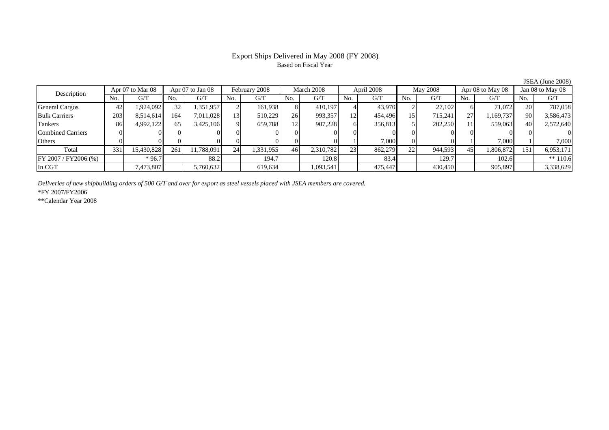# Based on Fiscal Year

No. I G/T II No. I G/T II No. I G/T II No. I G/T G/T II No. I G/T II No. I G/T II No. I G/T II No. I G/T II No  $G/T$ General Cargos | 42 | 1,924,092 || 32 | 1,351,957 | 2 | 161,938 | 8 | 410,197 | 4 | 43,970 | 2 | 27,102 | 6 | 71,072 || 20 | Bulk Carriers 203 8,514,614 164 7,011,028 13 510,229 26 993,357 12 454,496 15 715,241 27 1,169,737 90 3,586,473 Tankers | 86 4,992,122 65 3,425,106 9 659,788 12 907,228 6 356,813 5 202,250 11 559,063 40 2,572,640 Combined Carriers 0 0 0 0 0 0 0 0 0 0 0 0 0 0 0 0Others 0 0 0 0 0 0 0 0 1 7,000 0 0 1 7,000 1 7,000 Total 331 15,430,828 261 11,788,091 24 1,331,955 46 2,310,782 23 862,279 22 944,593 45 1,806,872 151 6,953,171 FY 2007 / FY2006 (%) \* 96.7 88.2 194.7 120.8 83.4 129.7 102.6 \*\* 110.6 In CGT | | 7,473,807 || | 5,760,632 | | 619,634 | | 1,093,541 | | 475,447 | | 430,450 | | 905,897 | | 3,338,629 Apr 07 to Mar 08 Apr 07 to Jan 08 February 2008 March 2008 April 2008 May 2008 Apr 08 to May 08 Jan 08 to May 08 Description

*Deliveries of new shipbuilding orders of 500 G/T and over for export as steel vessels placed with JSEA members are covered.*

\*FY 2007/FY2006

\*\*Calendar Year 2008

JSEA (June 2008)

# Export Ships Delivered in May 2008 (FY 2008)